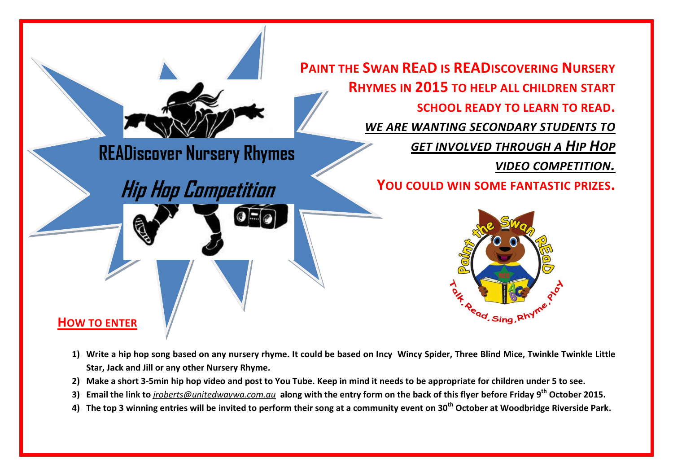

- **1) Write a hip hop song based on any nursery rhyme. It could be based on Incy Wincy Spider, Three Blind Mice, Twinkle Twinkle Little Star, Jack and Jill or any other Nursery Rhyme.**
- **2) Make a short 3-5min hip hop video and post to You Tube. Keep in mind it needs to be appropriate for children under 5 to see.**
- **3) Email the link to** *[jroberts@unitedwaywa.com.au](mailto:jroberts@unitedwaywa.com.au)* **along with the entry form on the back of this flyer before Friday 9 th October 2015.**
- **4) The top 3 winning entries will be invited to perform their song at a community event on 30th October at Woodbridge Riverside Park.**